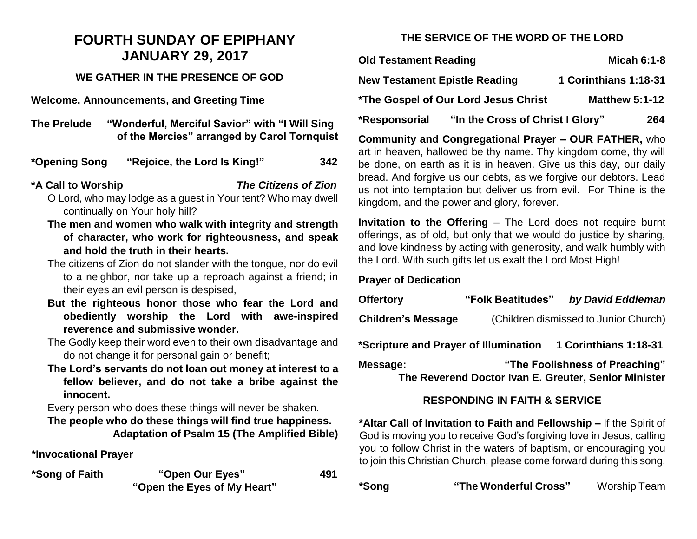# **FOURTH SUNDAY OF EPIPHANY JANUARY 29, 2017**

### **WE GATHER IN THE PRESENCE OF GOD**

**Welcome, Announcements, and Greeting Time** 

**The Prelude "Wonderful, Merciful Savior" with "I Will Sing of the Mercies" arranged by Carol Tornquist**

**\*Opening Song "Rejoice, the Lord Is King!" 342**

**\*A Call to Worship** *The Citizens of Zion*

- O Lord, who may lodge as a guest in Your tent? Who may dwell continually on Your holy hill?
- **The men and women who walk with integrity and strength of character, who work for righteousness, and speak and hold the truth in their hearts.**
- The citizens of Zion do not slander with the tongue, nor do evil to a neighbor, nor take up a reproach against a friend; in their eyes an evil person is despised,
- **But the righteous honor those who fear the Lord and obediently worship the Lord with awe-inspired reverence and submissive wonder.**
- The Godly keep their word even to their own disadvantage and do not change it for personal gain or benefit;
- **The Lord's servants do not loan out money at interest to a fellow believer, and do not take a bribe against the innocent.**

Every person who does these things will never be shaken.

**The people who do these things will find true happiness. Adaptation of Psalm 15 (The Amplified Bible)**

**\*Invocational Prayer**

| *Song of Faith | "Open Our Eyes"             | 491 |
|----------------|-----------------------------|-----|
|                | "Open the Eyes of My Heart" |     |

# **THE SERVICE OF THE WORD OF THE LORD**

| <b>Old Testament Reading</b>         |                                  | <b>Micah 6:1-8</b>    |  |
|--------------------------------------|----------------------------------|-----------------------|--|
| <b>New Testament Epistle Reading</b> |                                  | 1 Corinthians 1:18-31 |  |
| *The Gospel of Our Lord Jesus Christ |                                  | <b>Matthew 5:1-12</b> |  |
| *Responsorial                        | "In the Cross of Christ I Glory" | 264                   |  |

**Community and Congregational Prayer – OUR FATHER,** who art in heaven, hallowed be thy name. Thy kingdom come, thy will be done, on earth as it is in heaven. Give us this day, our daily bread. And forgive us our debts, as we forgive our debtors. Lead us not into temptation but deliver us from evil. For Thine is the kingdom, and the power and glory, forever.

**Invitation to the Offering –** The Lord does not require burnt offerings, as of old, but only that we would do justice by sharing, and love kindness by acting with generosity, and walk humbly with the Lord. With such gifts let us exalt the Lord Most High!

#### **Prayer of Dedication**

| <b>Offertory</b>                                                                                   | "Folk Beatitudes"                     | by David Eddleman |  |  |
|----------------------------------------------------------------------------------------------------|---------------------------------------|-------------------|--|--|
| <b>Children's Message</b>                                                                          | (Children dismissed to Junior Church) |                   |  |  |
| *Scripture and Prayer of Illumination<br>1 Corinthians 1:18-31                                     |                                       |                   |  |  |
| "The Foolishness of Preaching"<br>Message:<br>The Reverend Doctor Ivan E. Greuter, Senior Minister |                                       |                   |  |  |

## **RESPONDING IN FAITH & SERVICE**

**\*Altar Call of Invitation to Faith and Fellowship –** If the Spirit of God is moving you to receive God's forgiving love in Jesus, calling you to follow Christ in the waters of baptism, or encouraging you to join this Christian Church, please come forward during this song.

**\*Song "The Wonderful Cross"** Worship Team